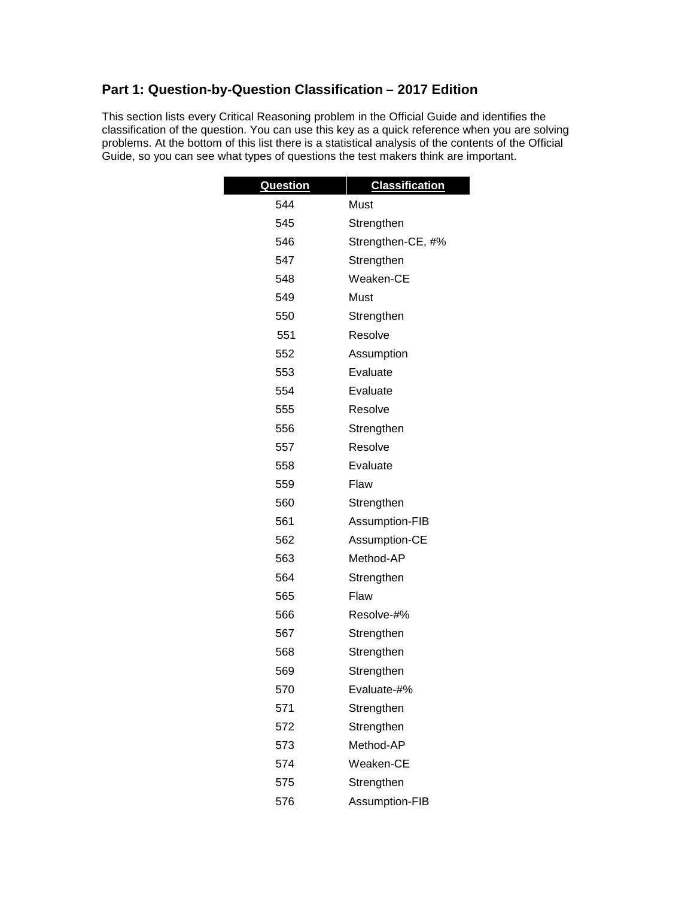## **Part 1: Question-by-Question Classification – 2017 Edition**

This section lists every Critical Reasoning problem in the Official Guide and identifies the classification of the question. You can use this key as a quick reference when you are solving problems. At the bottom of this list there is a statistical analysis of the contents of the Official Guide, so you can see what types of questions the test makers think are important.

| Question | <b>Classification</b> |
|----------|-----------------------|
| 544      | Must                  |
| 545      | Strengthen            |
| 546      | Strengthen-CE, #%     |
| 547      | Strengthen            |
| 548      | Weaken-CE             |
| 549      | Must                  |
| 550      | Strengthen            |
| 551      | Resolve               |
| 552      | Assumption            |
| 553      | Evaluate              |
| 554      | Evaluate              |
| 555      | Resolve               |
| 556      | Strengthen            |
| 557      | Resolve               |
| 558      | Evaluate              |
| 559      | Flaw                  |
| 560      | Strengthen            |
| 561      | Assumption-FIB        |
| 562      | Assumption-CE         |
| 563      | Method-AP             |
| 564      | Strengthen            |
| 565      | Flaw                  |
| 566      | Resolve-#%            |
| 567      | Strengthen            |
| 568      | Strengthen            |
| 569      | Strengthen            |
| 570      | Evaluate-#%           |
| 571      | Strengthen            |
| 572      | Strengthen            |
| 573      | Method-AP             |
| 574      | Weaken-CE             |
| 575      | Strengthen            |
| 576      | Assumption-FIB        |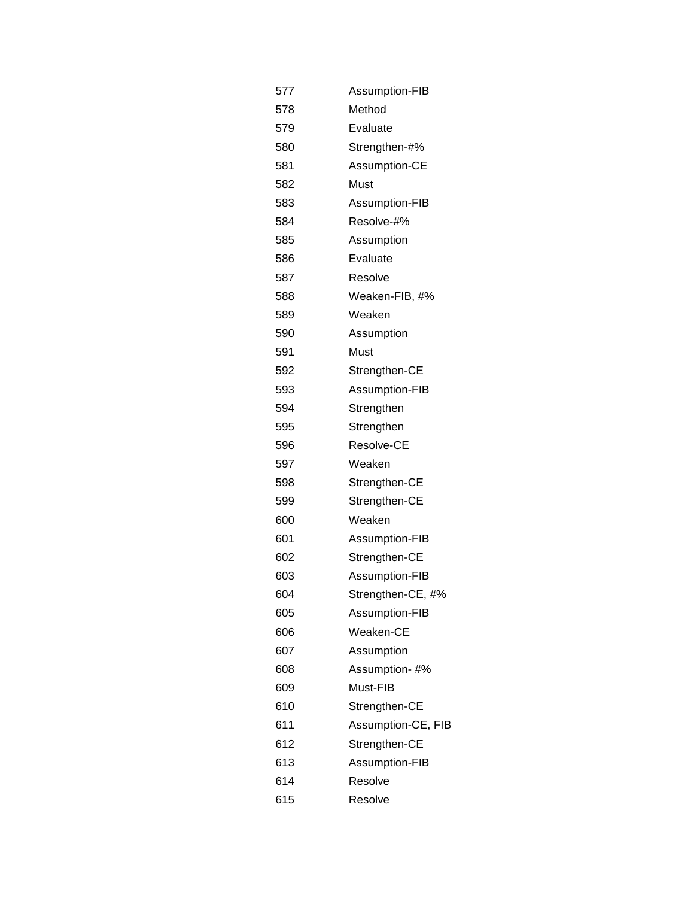| 577 | Assumption-FIB     |
|-----|--------------------|
| 578 | Method             |
| 579 | Evaluate           |
| 580 | Strengthen-#%      |
| 581 | Assumption-CE      |
| 582 | Must               |
| 583 | Assumption-FIB     |
| 584 | Resolve-#%         |
| 585 | Assumption         |
| 586 | Evaluate           |
| 587 | Resolve            |
| 588 | Weaken-FIB, #%     |
| 589 | Weaken             |
| 590 | Assumption         |
| 591 | Must               |
| 592 | Strengthen-CE      |
| 593 | Assumption-FIB     |
| 594 | Strengthen         |
| 595 | Strengthen         |
| 596 | Resolve-CE         |
| 597 | Weaken             |
| 598 | Strengthen-CE      |
| 599 | Strengthen-CE      |
| 600 | Weaken             |
| 601 | Assumption-FIB     |
| 602 | Strengthen-CE      |
| 603 | Assumption-FIB     |
| 604 | Strengthen-CE, #%  |
| 605 | Assumption-FIB     |
| 606 | Weaken-CE          |
| 607 | Assumption         |
| 608 | Assumption-#%      |
| 609 | Must-FIB           |
| 610 | Strengthen-CE      |
| 611 | Assumption-CE, FIB |
| 612 | Strengthen-CE      |
| 613 | Assumption-FIB     |
| 614 | Resolve            |
| 615 | Resolve            |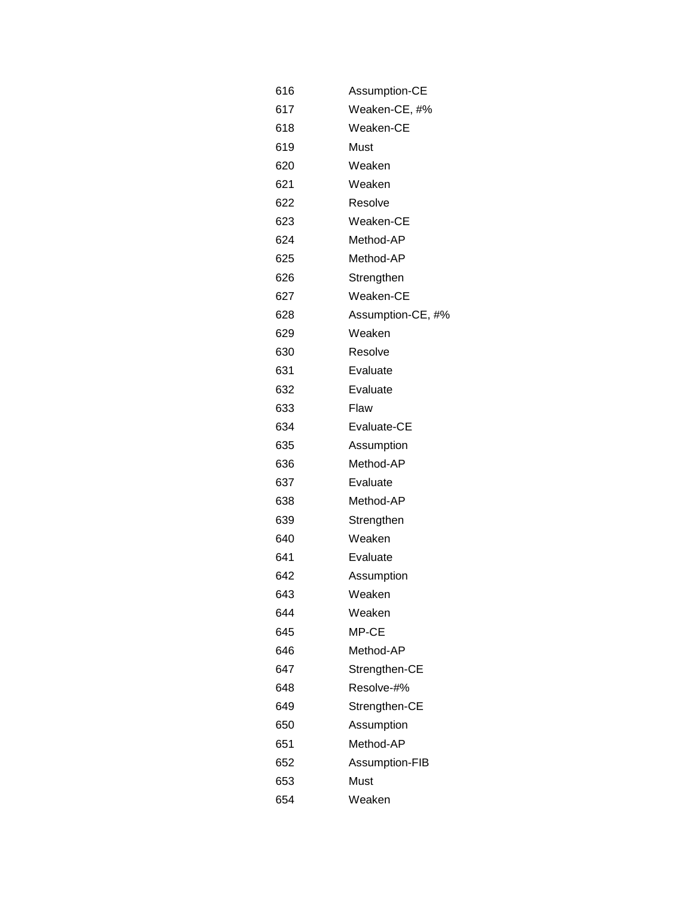| 616 | Assumption-CE     |
|-----|-------------------|
| 617 | Weaken-CE, #%     |
| 618 | Weaken-CE         |
| 619 | Must              |
| 620 | Weaken            |
| 621 | Weaken            |
| 622 | Resolve           |
| 623 | Weaken-CE         |
| 624 | Method-AP         |
| 625 | Method-AP         |
| 626 | Strengthen        |
| 627 | Weaken-CE         |
| 628 | Assumption-CE, #% |
| 629 | Weaken            |
| 630 | Resolve           |
| 631 | Evaluate          |
| 632 | Evaluate          |
| 633 | Flaw              |
| 634 | Evaluate-CE       |
| 635 | Assumption        |
| 636 | Method-AP         |
| 637 | Evaluate          |
| 638 | Method-AP         |
| 639 | Strengthen        |
| 640 | Weaken            |
| 641 | Evaluate          |
| 642 | Assumption        |
| 643 | Weaken            |
| 644 | Weaken            |
| 645 | MP-CE             |
| 646 | Method-AP         |
| 647 | Strengthen-CE     |
| 648 | Resolve-#%        |
| 649 | Strengthen-CE     |
| 650 | Assumption        |
| 651 | Method-AP         |
| 652 | Assumption-FIB    |
| 653 | Must              |
| 654 | Weaken            |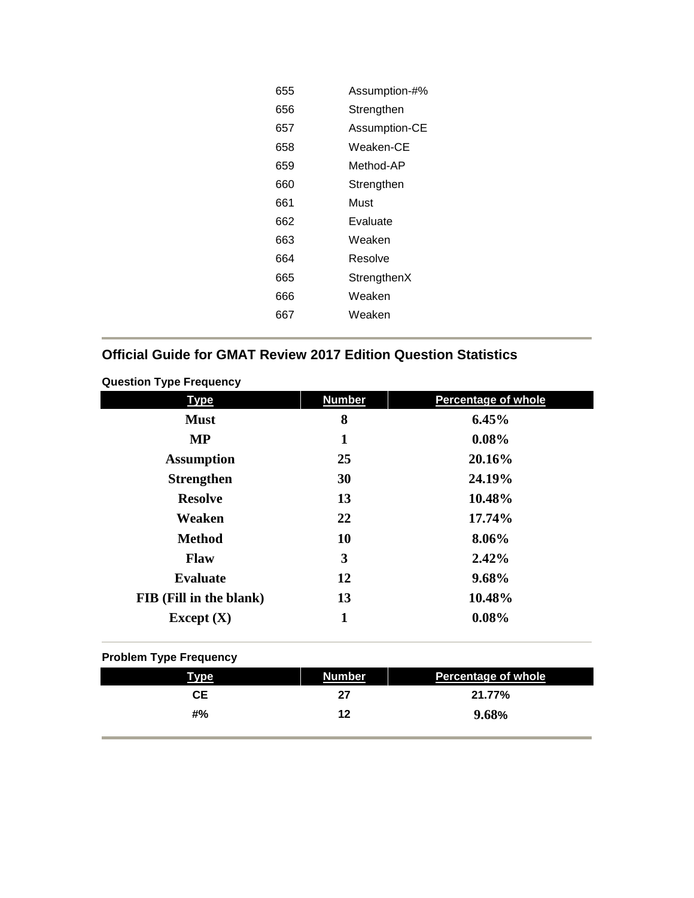| 655 | Assumption-#% |
|-----|---------------|
| 656 | Strengthen    |
| 657 | Assumption-CE |
| 658 | Weaken-CE     |
| 659 | Method-AP     |
| 660 | Strengthen    |
| 661 | Must          |
| 662 | Evaluate      |
| 663 | Weaken        |
| 664 | Resolve       |
| 665 | StrengthenX   |
| 666 | Weaken        |
| 667 | Weaken        |
|     |               |

## **Official Guide for GMAT Review 2017 Edition Question Statistics**

|  | <b>Question Type Frequency</b> |  |
|--|--------------------------------|--|
|--|--------------------------------|--|

| <b>Type</b>             | <b>Number</b> | <b>Percentage of whole</b> |
|-------------------------|---------------|----------------------------|
| <b>Must</b>             | 8             | 6.45%                      |
| <b>MP</b>               | 1             | $0.08\%$                   |
| <b>Assumption</b>       | 25            | 20.16%                     |
| <b>Strengthen</b>       | 30            | 24.19%                     |
| <b>Resolve</b>          | 13            | 10.48%                     |
| Weaken                  | 22            | 17.74%                     |
| <b>Method</b>           | 10            | 8.06%                      |
| <b>Flaw</b>             | 3             | 2.42%                      |
| <b>Evaluate</b>         | 12            | 9.68%                      |
| FIB (Fill in the blank) | 13            | 10.48%                     |
| Except $(X)$            | 1             | 0.08%                      |

## **Problem Type Frequency**

| <u>Type</u> | <b>Number</b> | <b>Percentage of whole</b> |
|-------------|---------------|----------------------------|
| CE.         | 27            | 21.77%                     |
| #%          | 12            | 9.68%                      |